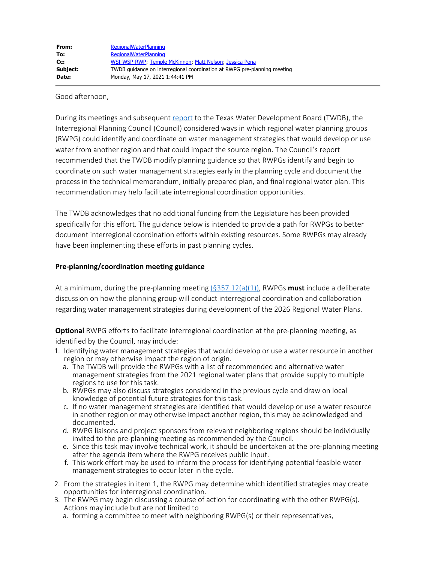Good afternoon,

During its meetings and subsequent [report](https://www.twdb.texas.gov/waterplanning/rwp/ipc/docs/09302020mtg/IPC_FinalReport-Apps_091620.pdf?d=9296.340000000782) to the Texas Water Development Board (TWDB), the Interregional Planning Council (Council) considered ways in which regional water planning groups (RWPG) could identify and coordinate on water management strategies that would develop or use water from another region and that could impact the source region. The Council's report recommended that the TWDB modify planning guidance so that RWPGs identify and begin to coordinate on such water management strategies early in the planning cycle and document the process in the technical memorandum, initially prepared plan, and final regional water plan. This recommendation may help facilitate interregional coordination opportunities.

The TWDB acknowledges that no additional funding from the Legislature has been provided specifically for this effort. The guidance below is intended to provide a path for RWPGs to better document interregional coordination efforts within existing resources. Some RWPGs may already have been implementing these efforts in past planning cycles.

## **Pre-planning/coordination meeting guidance**

At a minimum, during the pre-planning meeting [\(§357.12\(a\)\(1\)\)](https://texreg.sos.state.tx.us/public/readtac$ext.TacPage?sl=R&app=9&p_dir=&p_rloc=&p_tloc=&p_ploc=&pg=1&p_tac=&ti=31&pt=10&ch=357&rl=12), RWPGs **must** include a deliberate discussion on how the planning group will conduct interregional coordination and collaboration regarding water management strategies during development of the 2026 Regional Water Plans.

**Optional** RWPG efforts to facilitate interregional coordination at the pre-planning meeting, as identified by the Council, may include:

- 1. Identifying water management strategies that would develop or use a water resource in another region or may otherwise impact the region of origin.
	- a. The TWDB will provide the RWPGs with a list of recommended and alternative water management strategies from the 2021 regional water plans that provide supply to multiple regions to use for this task.
	- b. RWPGs may also discuss strategies considered in the previous cycle and draw on local knowledge of potential future strategies for this task.
	- c. If no water management strategies are identified that would develop or use a water resource in another region or may otherwise impact another region, this may be acknowledged and documented.
	- d. RWPG liaisons and project sponsors from relevant neighboring regions should be individually invited to the pre-planning meeting as recommended by the Council.
	- e. Since this task may involve technical work, it should be undertaken at the pre-planning meeting after the agenda item where the RWPG receives public input.
	- f. This work effort may be used to inform the process for identifying potential feasible water management strategies to occur later in the cycle.
- 2. From the strategies in item 1, the RWPG may determine which identified strategies may create opportunities for interregional coordination.
- 3. The RWPG may begin discussing a course of action for coordinating with the other RWPG(s). Actions may include but are not limited to
	- a. forming a committee to meet with neighboring RWPG(s) or their representatives,